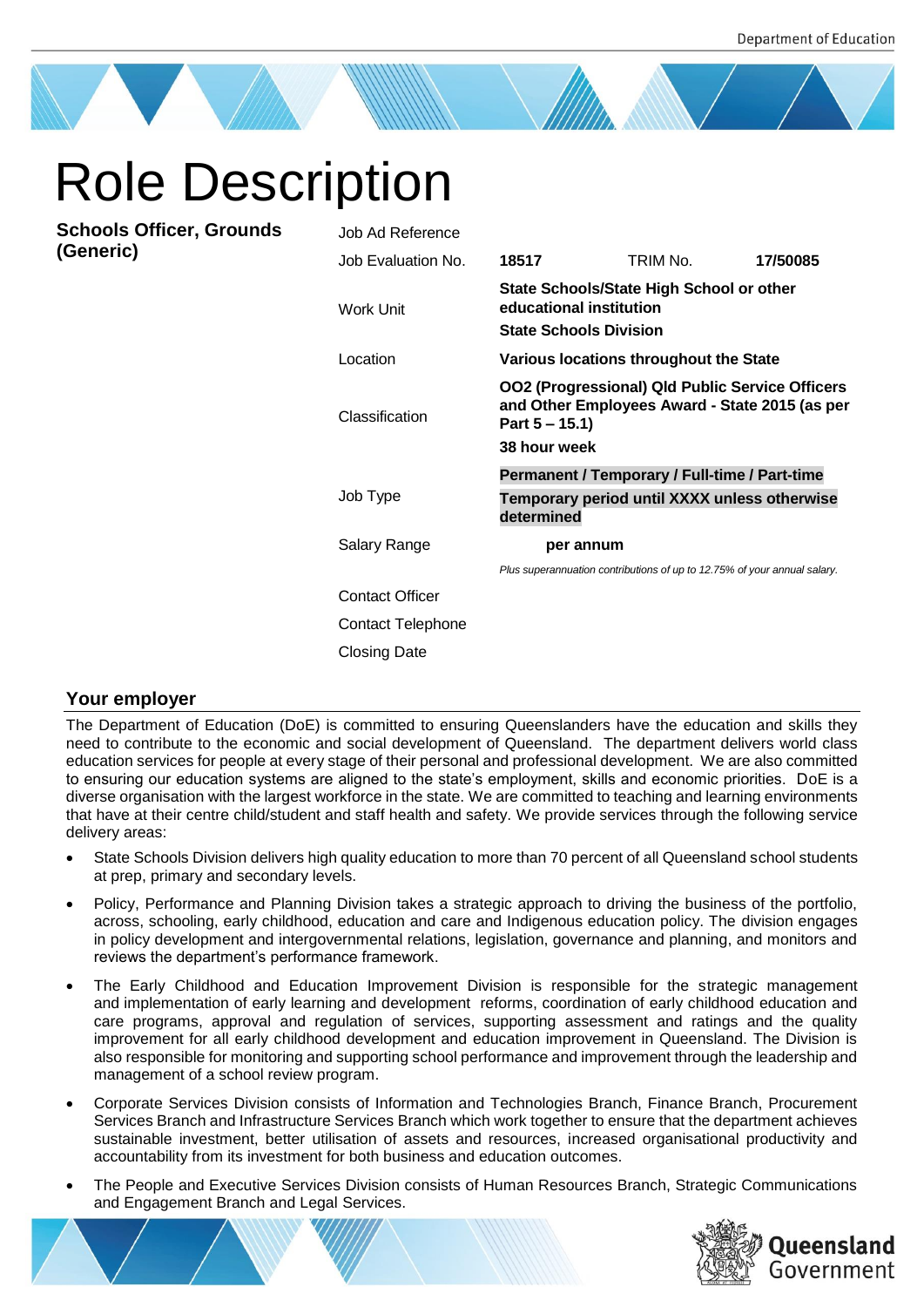# Role Description

**Schools Officer, Grounds (Generic)**

| Job Ad Reference       |                                                                                                                                               |                                                                          |          |
|------------------------|-----------------------------------------------------------------------------------------------------------------------------------------------|--------------------------------------------------------------------------|----------|
| Job Evaluation No.     | 18517                                                                                                                                         | TRIM No.                                                                 | 17/50085 |
| <b>Work Unit</b>       | State Schools/State High School or other<br>educational institution<br><b>State Schools Division</b>                                          |                                                                          |          |
| Location               | Various locations throughout the State                                                                                                        |                                                                          |          |
| Classification         | <b>OO2 (Progressional) Qld Public Service Officers</b><br>and Other Employees Award - State 2015 (as per<br>Part $5 - 15.1$ )<br>38 hour week |                                                                          |          |
|                        | Permanent / Temporary / Full-time / Part-time                                                                                                 |                                                                          |          |
| Job Type               | determined                                                                                                                                    | Temporary period until XXXX unless otherwise                             |          |
| Salary Range           | per annum                                                                                                                                     |                                                                          |          |
|                        |                                                                                                                                               | Plus superannuation contributions of up to 12.75% of your annual salary. |          |
| <b>Contact Officer</b> |                                                                                                                                               |                                                                          |          |
| Contact Telephone      |                                                                                                                                               |                                                                          |          |
| Closing Date           |                                                                                                                                               |                                                                          |          |

# **Your employer**

The Department of Education (DoE) is committed to ensuring Queenslanders have the education and skills they need to contribute to the economic and social development of Queensland. The department delivers world class education services for people at every stage of their personal and professional development. We are also committed to ensuring our education systems are aligned to the state's employment, skills and economic priorities. DoE is a diverse organisation with the largest workforce in the state. We are committed to teaching and learning environments that have at their centre child/student and staff health and safety. We provide services through the following service delivery areas:

- State Schools Division delivers high quality education to more than 70 percent of all Queensland school students at prep, primary and secondary levels.
- Policy, Performance and Planning Division takes a strategic approach to driving the business of the portfolio, across, schooling, early childhood, education and care and Indigenous education policy. The division engages in policy development and intergovernmental relations, legislation, governance and planning, and monitors and reviews the department's performance framework.
- The Early Childhood and Education Improvement Division is responsible for the strategic management and implementation of early learning and development reforms, coordination of early childhood education and care programs, approval and regulation of services, supporting assessment and ratings and the quality improvement for all early childhood development and education improvement in Queensland. The Division is also responsible for monitoring and supporting school performance and improvement through the leadership and management of a school review program.
- Corporate Services Division consists of Information and Technologies Branch, Finance Branch, Procurement Services Branch and Infrastructure Services Branch which work together to ensure that the department achieves sustainable investment, better utilisation of assets and resources, increased organisational productivity and accountability from its investment for both business and education outcomes.
- The People and Executive Services Division consists of Human Resources Branch, Strategic Communications and Engagement Branch and Legal Services.

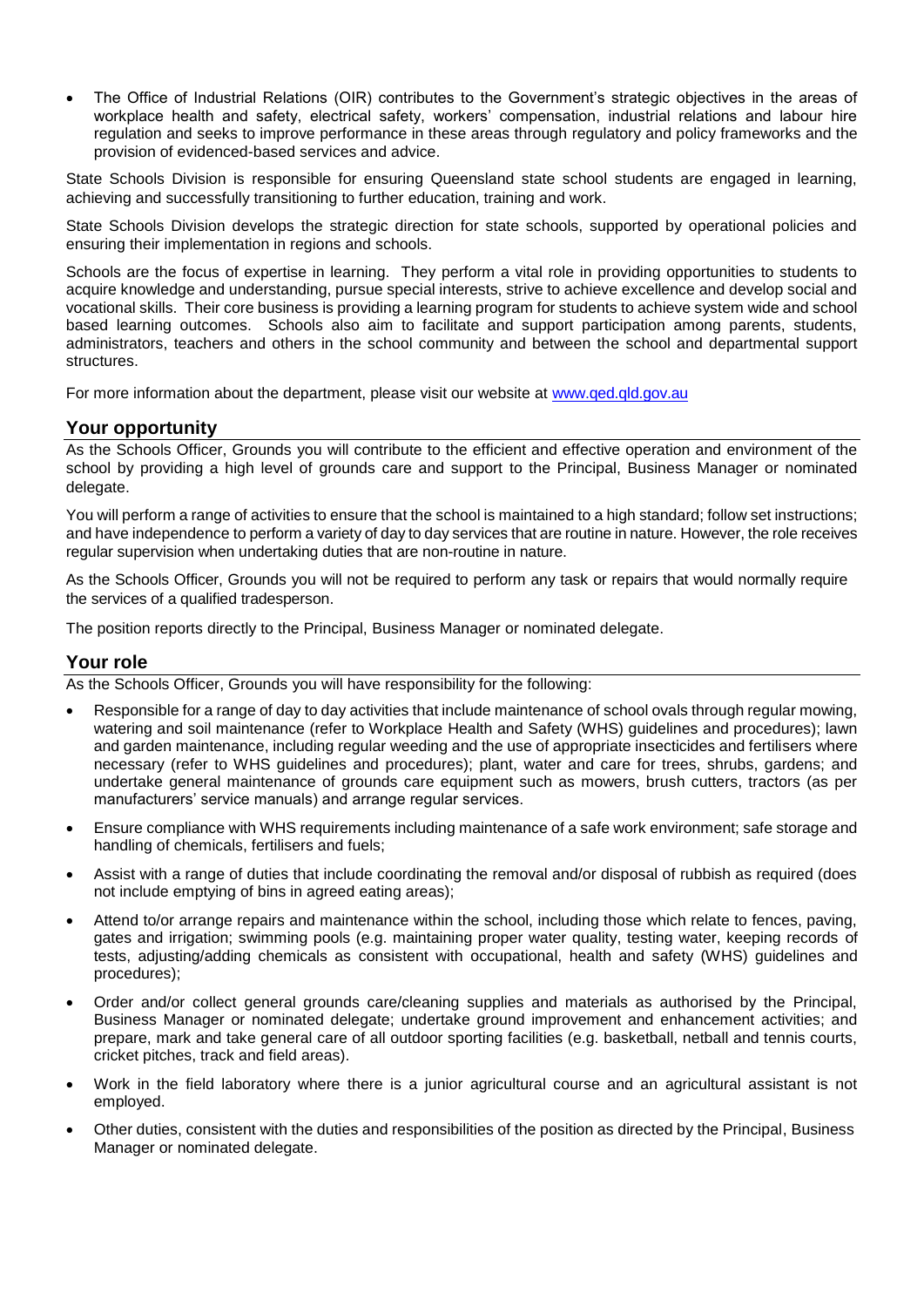• The Office of Industrial Relations (OIR) contributes to the Government's strategic objectives in the areas of workplace health and safety, electrical safety, workers' compensation, industrial relations and labour hire regulation and seeks to improve performance in these areas through regulatory and policy frameworks and the provision of evidenced-based services and advice.

State Schools Division is responsible for ensuring Queensland state school students are engaged in learning, achieving and successfully transitioning to further education, training and work.

State Schools Division develops the strategic direction for state schools, supported by operational policies and ensuring their implementation in regions and schools.

Schools are the focus of expertise in learning. They perform a vital role in providing opportunities to students to acquire knowledge and understanding, pursue special interests, strive to achieve excellence and develop social and vocational skills. Their core business is providing a learning program for students to achieve system wide and school based learning outcomes. Schools also aim to facilitate and support participation among parents, students, administrators, teachers and others in the school community and between the school and departmental support structures.

For more information about the department, please visit our website at [www.qed.qld.gov.au](http://www.qed.qld.gov.au/)

## **Your opportunity**

As the Schools Officer, Grounds you will contribute to the efficient and effective operation and environment of the school by providing a high level of grounds care and support to the Principal, Business Manager or nominated delegate.

You will perform a range of activities to ensure that the school is maintained to a high standard; follow set instructions; and have independence to perform a variety of day to day services that are routine in nature. However, the role receives regular supervision when undertaking duties that are non-routine in nature.

As the Schools Officer, Grounds you will not be required to perform any task or repairs that would normally require the services of a qualified tradesperson.

The position reports directly to the Principal, Business Manager or nominated delegate.

### **Your role**

As the Schools Officer, Grounds you will have responsibility for the following:

- Responsible for a range of day to day activities that include maintenance of school ovals through regular mowing, watering and soil maintenance (refer to Workplace Health and Safety (WHS) guidelines and procedures); lawn and garden maintenance, including regular weeding and the use of appropriate insecticides and fertilisers where necessary (refer to WHS guidelines and procedures); plant, water and care for trees, shrubs, gardens; and undertake general maintenance of grounds care equipment such as mowers, brush cutters, tractors (as per manufacturers' service manuals) and arrange regular services.
- Ensure compliance with WHS requirements including maintenance of a safe work environment; safe storage and handling of chemicals, fertilisers and fuels;
- Assist with a range of duties that include coordinating the removal and/or disposal of rubbish as required (does not include emptying of bins in agreed eating areas);
- Attend to/or arrange repairs and maintenance within the school, including those which relate to fences, paving, gates and irrigation; swimming pools (e.g. maintaining proper water quality, testing water, keeping records of tests, adjusting/adding chemicals as consistent with occupational, health and safety (WHS) guidelines and procedures);
- Order and/or collect general grounds care/cleaning supplies and materials as authorised by the Principal, Business Manager or nominated delegate; undertake ground improvement and enhancement activities; and prepare, mark and take general care of all outdoor sporting facilities (e.g. basketball, netball and tennis courts, cricket pitches, track and field areas).
- Work in the field laboratory where there is a junior agricultural course and an agricultural assistant is not employed.
- Other duties, consistent with the duties and responsibilities of the position as directed by the Principal, Business Manager or nominated delegate.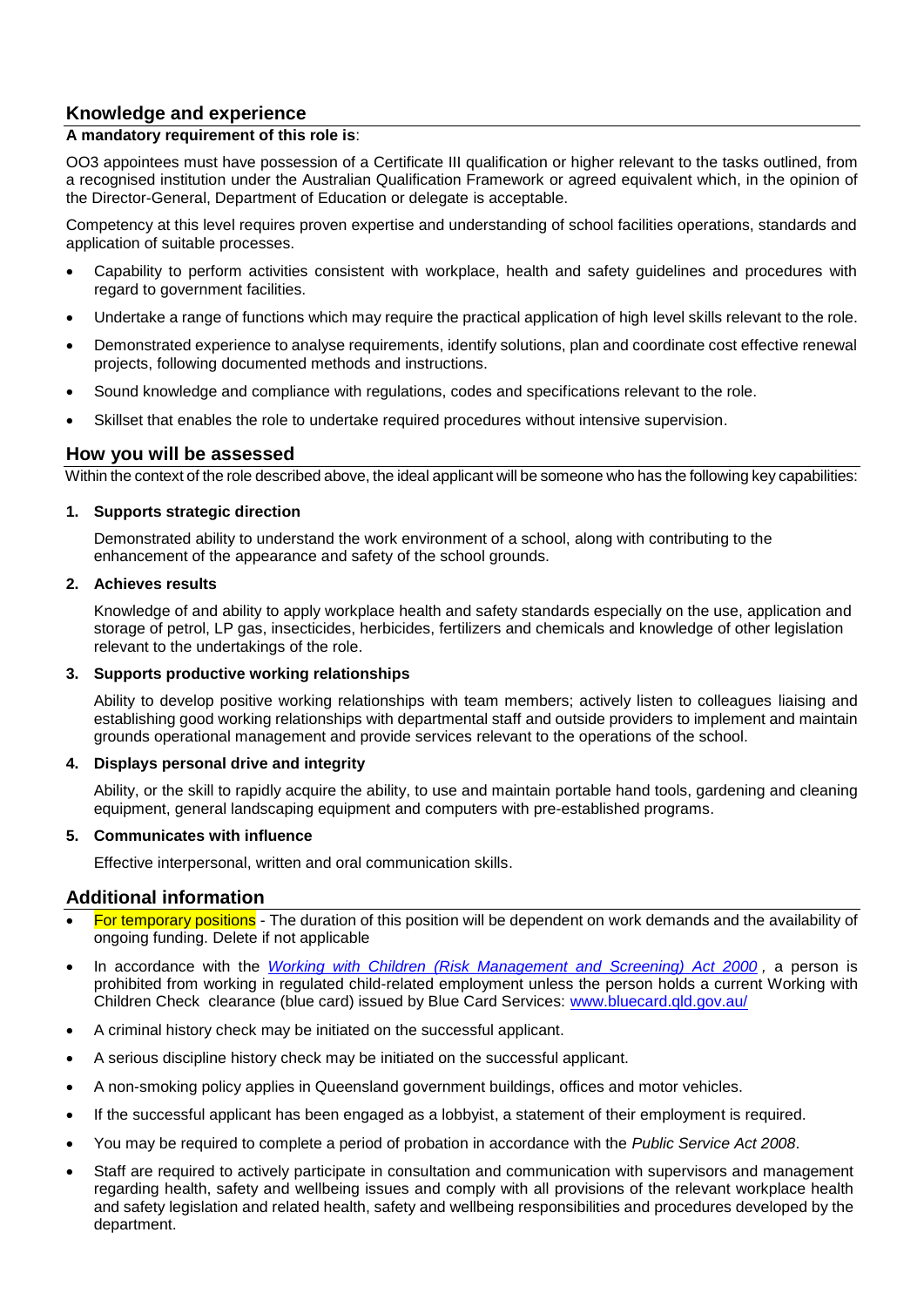# **Knowledge and experience**

#### **A mandatory requirement of this role is**:

OO3 appointees must have possession of a Certificate III qualification or higher relevant to the tasks outlined, from a recognised institution under the Australian Qualification Framework or agreed equivalent which, in the opinion of the Director-General, Department of Education or delegate is acceptable.

Competency at this level requires proven expertise and understanding of school facilities operations, standards and application of suitable processes.

- Capability to perform activities consistent with workplace, health and safety guidelines and procedures with regard to government facilities.
- Undertake a range of functions which may require the practical application of high level skills relevant to the role.
- Demonstrated experience to analyse requirements, identify solutions, plan and coordinate cost effective renewal projects, following documented methods and instructions.
- Sound knowledge and compliance with regulations, codes and specifications relevant to the role.
- Skillset that enables the role to undertake required procedures without intensive supervision.

## **How you will be assessed**

Within the context of the role described above, the ideal applicant will be someone who has the following key capabilities:

#### **1. Supports strategic direction**

Demonstrated ability to understand the work environment of a school, along with contributing to the enhancement of the appearance and safety of the school grounds.

#### **2. Achieves results**

Knowledge of and ability to apply workplace health and safety standards especially on the use, application and storage of petrol, LP gas, insecticides, herbicides, fertilizers and chemicals and knowledge of other legislation relevant to the undertakings of the role.

#### **3. Supports productive working relationships**

Ability to develop positive working relationships with team members; actively listen to colleagues liaising and establishing good working relationships with departmental staff and outside providers to implement and maintain grounds operational management and provide services relevant to the operations of the school.

#### **4. Displays personal drive and integrity**

Ability, or the skill to rapidly acquire the ability, to use and maintain portable hand tools, gardening and cleaning equipment, general landscaping equipment and computers with pre-established programs.

#### **5. Communicates with influence**

Effective interpersonal, written and oral communication skills.

#### **Additional information**

- For temporary positions The duration of this position will be dependent on work demands and the availability of ongoing funding. Delete if not applicable
- In accordance with the *[Working with Children \(Risk Management and Screening\) Act 2000](https://www.legislation.qld.gov.au/view/pdf/asmade/act-2019-018), a person is* prohibited from working in regulated child-related employment unless the person holds a current Working with Children Check clearance (blue card) issued by Blue Card Services: [www.bluecard.qld.gov.au/](http://www.bluecard.qld.gov.au/)
- A criminal history check may be initiated on the successful applicant.
- A serious discipline history check may be initiated on the successful applicant.
- A non-smoking policy applies in Queensland government buildings, offices and motor vehicles.
- If the successful applicant has been engaged as a lobbyist, a statement of their employment is required.
- You may be required to complete a period of probation in accordance with the *Public Service Act 2008*.
- Staff are required to actively participate in consultation and communication with supervisors and management regarding health, safety and wellbeing issues and comply with all provisions of the relevant workplace health and safety legislation and related health, safety and wellbeing responsibilities and procedures developed by the department.